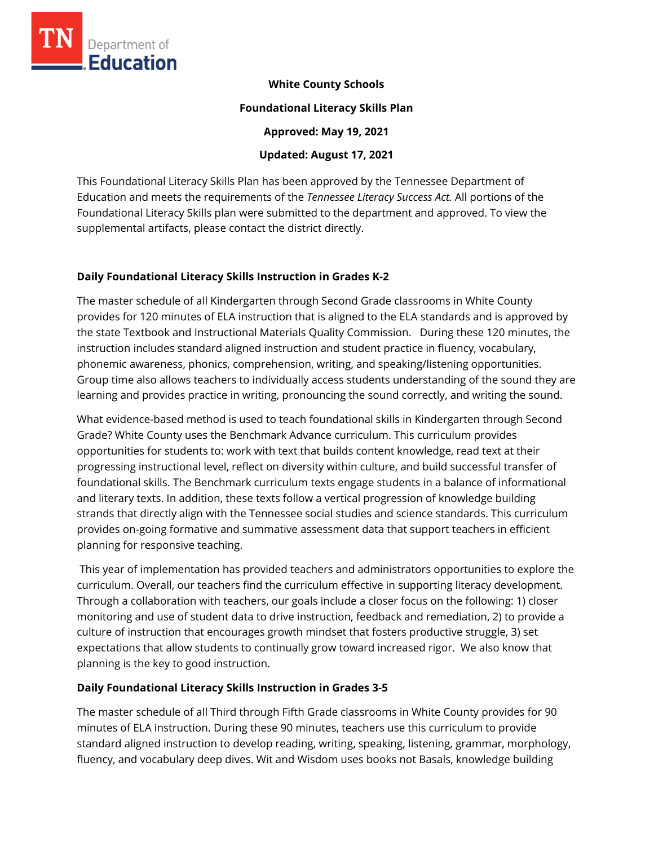

**White County Schools** 

**Foundational Literacy Skills Plan** 

**Approved: May 19, 2021** 

**Updated: August 17, 2021**

This Foundational Literacy Skills Plan has been approved by the Tennessee Department of Education and meets the requirements of the *Tennessee Literacy Success Act.* All portions of the Foundational Literacy Skills plan were submitted to the department and approved. To view the supplemental artifacts, please contact the district directly.

# **Daily Foundational Literacy Skills Instruction in Grades K-2**

The master schedule of all Kindergarten through Second Grade classrooms in White County provides for 120 minutes of ELA instruction that is aligned to the ELA standards and is approved by the state Textbook and Instructional Materials Quality Commission. During these 120 minutes, the instruction includes standard aligned instruction and student practice in fluency, vocabulary, phonemic awareness, phonics, comprehension, writing, and speaking/listening opportunities. Group time also allows teachers to individually access students understanding of the sound they are learning and provides practice in writing, pronouncing the sound correctly, and writing the sound.

What evidence-based method is used to teach foundational skills in Kindergarten through Second Grade? White County uses the Benchmark Advance curriculum. This curriculum provides opportunities for students to: work with text that builds content knowledge, read text at their progressing instructional level, reflect on diversity within culture, and build successful transfer of foundational skills. The Benchmark curriculum texts engage students in a balance of informational and literary texts. In addition, these texts follow a vertical progression of knowledge building strands that directly align with the Tennessee social studies and science standards. This curriculum provides on-going formative and summative assessment data that support teachers in efficient planning for responsive teaching.

This year of implementation has provided teachers and administrators opportunities to explore the curriculum. Overall, our teachers find the curriculum effective in supporting literacy development. Through a collaboration with teachers, our goals include a closer focus on the following: 1) closer monitoring and use of student data to drive instruction, feedback and remediation, 2) to provide a culture of instruction that encourages growth mindset that fosters productive struggle, 3) set expectations that allow students to continually grow toward increased rigor. We also know that planning is the key to good instruction.

## **Daily Foundational Literacy Skills Instruction in Grades 3-5**

The master schedule of all Third through Fifth Grade classrooms in White County provides for 90 minutes of ELA instruction. During these 90 minutes, teachers use this curriculum to provide standard aligned instruction to develop reading, writing, speaking, listening, grammar, morphology, fluency, and vocabulary deep dives. Wit and Wisdom uses books not Basals, knowledge building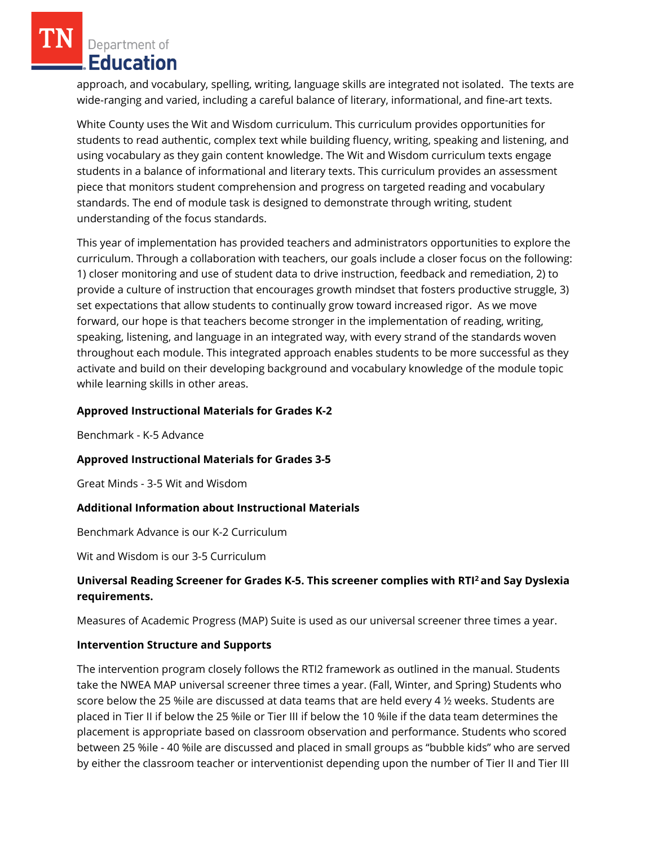Department of **Education** 

approach, and vocabulary, spelling, writing, language skills are integrated not isolated. The texts are wide-ranging and varied, including a careful balance of literary, informational, and fine-art texts.

White County uses the Wit and Wisdom curriculum. This curriculum provides opportunities for students to read authentic, complex text while building fluency, writing, speaking and listening, and using vocabulary as they gain content knowledge. The Wit and Wisdom curriculum texts engage students in a balance of informational and literary texts. This curriculum provides an assessment piece that monitors student comprehension and progress on targeted reading and vocabulary standards. The end of module task is designed to demonstrate through writing, student understanding of the focus standards.

This year of implementation has provided teachers and administrators opportunities to explore the curriculum. Through a collaboration with teachers, our goals include a closer focus on the following: 1) closer monitoring and use of student data to drive instruction, feedback and remediation, 2) to provide a culture of instruction that encourages growth mindset that fosters productive struggle, 3) set expectations that allow students to continually grow toward increased rigor. As we move forward, our hope is that teachers become stronger in the implementation of reading, writing, speaking, listening, and language in an integrated way, with every strand of the standards woven throughout each module. This integrated approach enables students to be more successful as they activate and build on their developing background and vocabulary knowledge of the module topic while learning skills in other areas.

## **Approved Instructional Materials for Grades K-2**

Benchmark - K-5 Advance

### **Approved Instructional Materials for Grades 3-5**

Great Minds - 3-5 Wit and Wisdom

## **Additional Information about Instructional Materials**

Benchmark Advance is our K-2 Curriculum

Wit and Wisdom is our 3-5 Curriculum

# **Universal Reading Screener for Grades K-5. This screener complies with RTI<sup>2</sup>and Say Dyslexia requirements.**

Measures of Academic Progress (MAP) Suite is used as our universal screener three times a year.

### **Intervention Structure and Supports**

The intervention program closely follows the RTI2 framework as outlined in the manual. Students take the NWEA MAP universal screener three times a year. (Fall, Winter, and Spring) Students who score below the 25 %ile are discussed at data teams that are held every 4 ½ weeks. Students are placed in Tier II if below the 25 %ile or Tier III if below the 10 %ile if the data team determines the placement is appropriate based on classroom observation and performance. Students who scored between 25 %ile - 40 %ile are discussed and placed in small groups as "bubble kids" who are served by either the classroom teacher or interventionist depending upon the number of Tier II and Tier III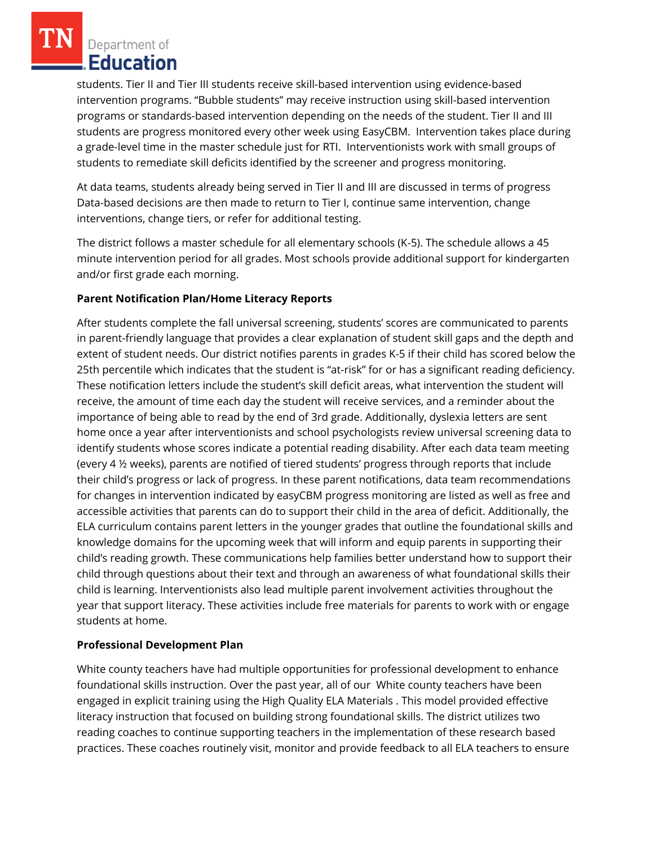Department of Education

students. Tier II and Tier III students receive skill-based intervention using evidence-based intervention programs. "Bubble students" may receive instruction using skill-based intervention programs or standards-based intervention depending on the needs of the student. Tier II and III students are progress monitored every other week using EasyCBM. Intervention takes place during a grade-level time in the master schedule just for RTI. Interventionists work with small groups of students to remediate skill deficits identified by the screener and progress monitoring.

At data teams, students already being served in Tier II and III are discussed in terms of progress Data-based decisions are then made to return to Tier I, continue same intervention, change interventions, change tiers, or refer for additional testing.

The district follows a master schedule for all elementary schools (K-5). The schedule allows a 45 minute intervention period for all grades. Most schools provide additional support for kindergarten and/or first grade each morning.

## **Parent Notification Plan/Home Literacy Reports**

After students complete the fall universal screening, students' scores are communicated to parents in parent-friendly language that provides a clear explanation of student skill gaps and the depth and extent of student needs. Our district notifies parents in grades K-5 if their child has scored below the 25th percentile which indicates that the student is "at-risk" for or has a significant reading deficiency. These notification letters include the student's skill deficit areas, what intervention the student will receive, the amount of time each day the student will receive services, and a reminder about the importance of being able to read by the end of 3rd grade. Additionally, dyslexia letters are sent home once a year after interventionists and school psychologists review universal screening data to identify students whose scores indicate a potential reading disability. After each data team meeting (every 4 ½ weeks), parents are notified of tiered students' progress through reports that include their child's progress or lack of progress. In these parent notifications, data team recommendations for changes in intervention indicated by easyCBM progress monitoring are listed as well as free and accessible activities that parents can do to support their child in the area of deficit. Additionally, the ELA curriculum contains parent letters in the younger grades that outline the foundational skills and knowledge domains for the upcoming week that will inform and equip parents in supporting their child's reading growth. These communications help families better understand how to support their child through questions about their text and through an awareness of what foundational skills their child is learning. Interventionists also lead multiple parent involvement activities throughout the year that support literacy. These activities include free materials for parents to work with or engage students at home.

## **Professional Development Plan**

White county teachers have had multiple opportunities for professional development to enhance foundational skills instruction. Over the past year, all of our White county teachers have been engaged in explicit training using the High Quality ELA Materials . This model provided effective literacy instruction that focused on building strong foundational skills. The district utilizes two reading coaches to continue supporting teachers in the implementation of these research based practices. These coaches routinely visit, monitor and provide feedback to all ELA teachers to ensure